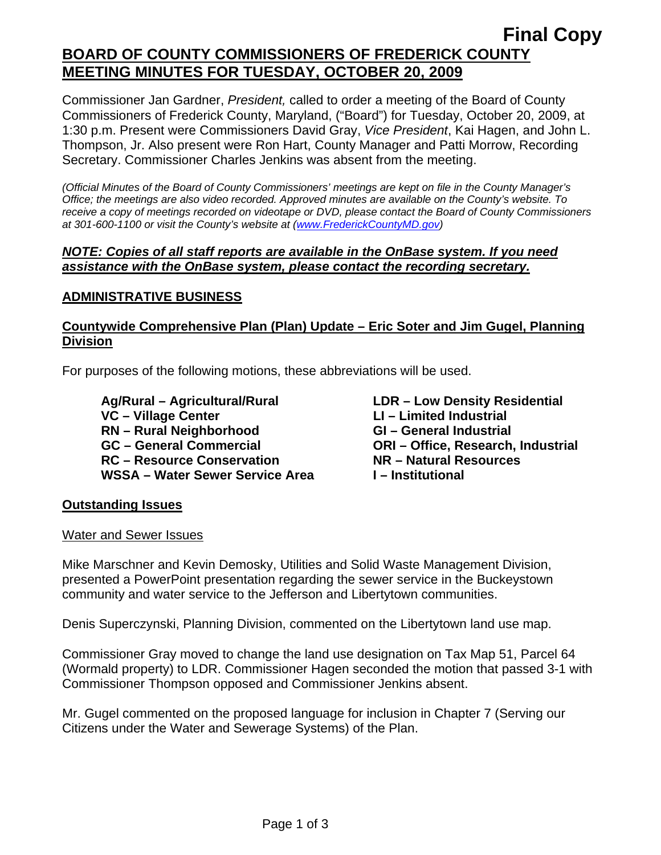# **Final Copy BOARD OF COUNTY COMMISSIONERS OF FREDERICK COUNTY MEETING MINUTES FOR TUESDAY, OCTOBER 20, 2009**

Commissioner Jan Gardner, *President,* called to order a meeting of the Board of County Commissioners of Frederick County, Maryland, ("Board") for Tuesday, October 20, 2009, at 1:30 p.m. Present were Commissioners David Gray, *Vice President*, Kai Hagen, and John L. Thompson, Jr. Also present were Ron Hart, County Manager and Patti Morrow, Recording Secretary. Commissioner Charles Jenkins was absent from the meeting.

*(Official Minutes of the Board of County Commissioners' meetings are kept on file in the County Manager's Office; the meetings are also video recorded. Approved minutes are available on the County's website. To receive a copy of meetings recorded on videotape or DVD, please contact the Board of County Commissioners at 301-600-1100 or visit the County's website at ([www.FrederickCountyMD.gov](http://www.frederickcountymd.gov/))* 

#### *NOTE: Copies of all staff reports are available in the OnBase system. If you need assistance with the OnBase system, please contact the recording secretary.*

# **ADMINISTRATIVE BUSINESS**

### **Countywide Comprehensive Plan (Plan) Update – Eric Soter and Jim Gugel, Planning Division**

For purposes of the following motions, these abbreviations will be used.

 **Ag/Rural – Agricultural/Rural LDR – Low Density Residential**  VC – Village Center **LI** – Limited Industrial **RN – Rural Neighborhood GI – General Industrial GC – General Commercial ORI – Office, Research, Industrial RC – Resource Conservation NR – Natural Resources**  WSSA – Water Sewer Service Area **I** – Institutional

### **Outstanding Issues**

#### Water and Sewer Issues

Mike Marschner and Kevin Demosky, Utilities and Solid Waste Management Division, presented a PowerPoint presentation regarding the sewer service in the Buckeystown community and water service to the Jefferson and Libertytown communities.

Denis Superczynski, Planning Division, commented on the Libertytown land use map.

Commissioner Gray moved to change the land use designation on Tax Map 51, Parcel 64 (Wormald property) to LDR. Commissioner Hagen seconded the motion that passed 3-1 with Commissioner Thompson opposed and Commissioner Jenkins absent.

Mr. Gugel commented on the proposed language for inclusion in Chapter 7 (Serving our Citizens under the Water and Sewerage Systems) of the Plan.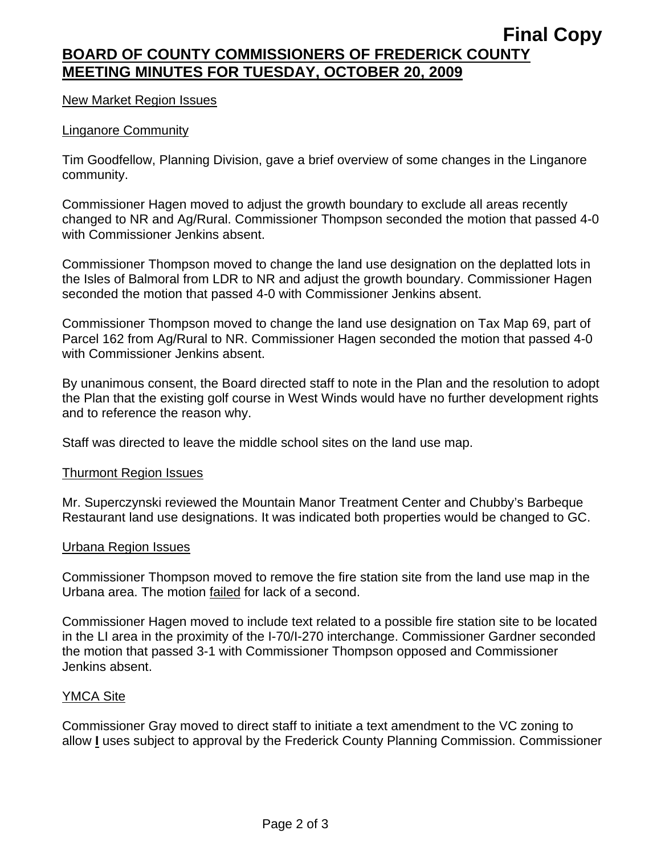# **Final Copy BOARD OF COUNTY COMMISSIONERS OF FREDERICK COUNTY MEETING MINUTES FOR TUESDAY, OCTOBER 20, 2009**

#### New Market Region Issues

#### Linganore Community

Tim Goodfellow, Planning Division, gave a brief overview of some changes in the Linganore community.

Commissioner Hagen moved to adjust the growth boundary to exclude all areas recently changed to NR and Ag/Rural. Commissioner Thompson seconded the motion that passed 4-0 with Commissioner Jenkins absent.

Commissioner Thompson moved to change the land use designation on the deplatted lots in the Isles of Balmoral from LDR to NR and adjust the growth boundary. Commissioner Hagen seconded the motion that passed 4-0 with Commissioner Jenkins absent.

Commissioner Thompson moved to change the land use designation on Tax Map 69, part of Parcel 162 from Ag/Rural to NR. Commissioner Hagen seconded the motion that passed 4-0 with Commissioner Jenkins absent.

By unanimous consent, the Board directed staff to note in the Plan and the resolution to adopt the Plan that the existing golf course in West Winds would have no further development rights and to reference the reason why.

Staff was directed to leave the middle school sites on the land use map.

#### Thurmont Region Issues

Mr. Superczynski reviewed the Mountain Manor Treatment Center and Chubby's Barbeque Restaurant land use designations. It was indicated both properties would be changed to GC.

#### Urbana Region Issues

Commissioner Thompson moved to remove the fire station site from the land use map in the Urbana area. The motion failed for lack of a second.

Commissioner Hagen moved to include text related to a possible fire station site to be located in the LI area in the proximity of the I-70/I-270 interchange. Commissioner Gardner seconded the motion that passed 3-1 with Commissioner Thompson opposed and Commissioner Jenkins absent.

#### YMCA Site

Commissioner Gray moved to direct staff to initiate a text amendment to the VC zoning to allow **I** uses subject to approval by the Frederick County Planning Commission. Commissioner